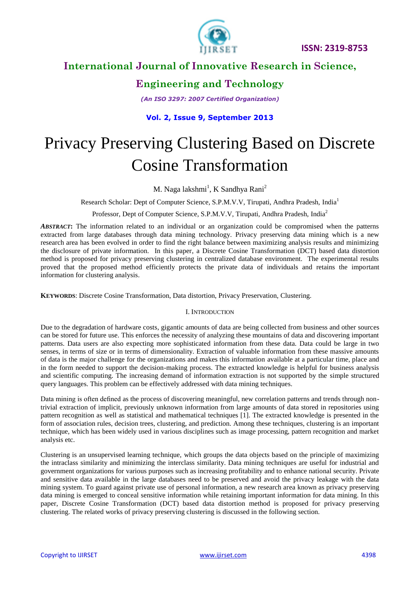

# **Engineering and Technology**

*(An ISO 3297: 2007 Certified Organization)*

### **Vol. 2, Issue 9, September 2013**

# Privacy Preserving Clustering Based on Discrete Cosine Transformation

### M. Naga lakshmi<sup>1</sup>, K Sandhya Rani<sup>2</sup>

Research Scholar: Dept of Computer Science, S.P.M.V.V, Tirupati, Andhra Pradesh, India<sup>1</sup>

Professor, Dept of Computer Science, S.P.M.V.V, Tirupati, Andhra Pradesh, India<sup>2</sup>

*ABSTRACT***:** The information related to an individual or an organization could be compromised when the patterns extracted from large databases through data mining technology. Privacy preserving data mining which is a new research area has been evolved in order to find the right balance between maximizing analysis results and minimizing the disclosure of private information. In this paper, a Discrete Cosine Transformation (DCT) based data distortion method is proposed for privacy preserving clustering in centralized database environment. The experimental results proved that the proposed method efficiently protects the private data of individuals and retains the important information for clustering analysis.

**KEYWORDS**: Discrete Cosine Transformation, Data distortion, Privacy Preservation, Clustering.

#### I. INTRODUCTION

Due to the degradation of hardware costs, gigantic amounts of data are being collected from business and other sources can be stored for future use. This enforces the necessity of analyzing these mountains of data and discovering important patterns. Data users are also expecting more sophisticated information from these data. Data could be large in two senses, in terms of size or in terms of dimensionality. Extraction of valuable information from these massive amounts of data is the major challenge for the organizations and makes this information available at a particular time, place and in the form needed to support the decision-making process. The extracted knowledge is helpful for business analysis and scientific computing. The increasing demand of information extraction is not supported by the simple structured query languages. This problem can be effectively addressed with data mining techniques.

Data mining is often defined as the process of discovering meaningful, new correlation patterns and trends through nontrivial extraction of implicit, previously unknown information from large amounts of data stored in repositories using pattern recognition as well as statistical and mathematical techniques [1]. The extracted knowledge is presented in the form of association rules, decision trees, clustering, and prediction. Among these techniques, clustering is an important technique, which has been widely used in various disciplines such as image processing, pattern recognition and market analysis etc.

Clustering is an unsupervised learning technique, which groups the data objects based on the principle of maximizing the intraclass similarity and minimizing the interclass similarity. Data mining techniques are useful for industrial and government organizations for various purposes such as increasing profitability and to enhance national security. Private and sensitive data available in the large databases need to be preserved and avoid the privacy leakage with the data mining system. To guard against private use of personal information, a new research area known as privacy preserving data mining is emerged to conceal sensitive information while retaining important information for data mining. In this paper, Discrete Cosine Transformation (DCT) based data distortion method is proposed for privacy preserving clustering. The related works of privacy preserving clustering is discussed in the following section.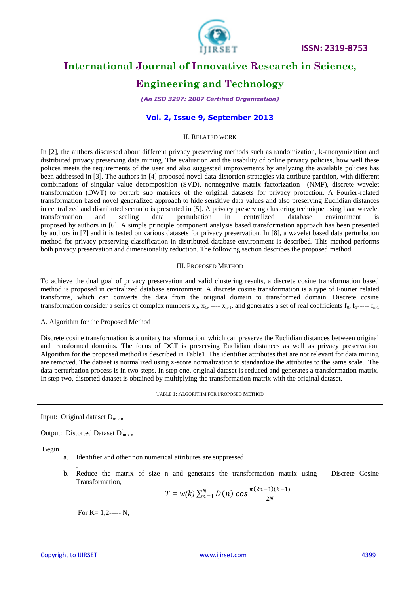

 **ISSN: 2319-8753** 

# **International Journal of Innovative Research in Science,**

### **Engineering and Technology**

*(An ISO 3297: 2007 Certified Organization)*

#### **Vol. 2, Issue 9, September 2013**

#### II. RELATED WORK

In [2], the authors discussed about different privacy preserving methods such as randomization, k-anonymization and distributed privacy preserving data mining. The evaluation and the usability of online privacy policies, how well these polices meets the requirements of the user and also suggested improvements by analyzing the available policies has been addressed in [3]. The authors in [4] proposed novel data distortion strategies via attribute partition, with different combinations of singular value decomposition (SVD), nonnegative matrix factorization (NMF), discrete wavelet transformation (DWT) to perturb sub matrices of the original datasets for privacy protection. A Fourier-related transformation based novel generalized approach to hide sensitive data values and also preserving Euclidian distances in centralized and distributed scenario is presented in [5]. A privacy preserving clustering technique using haar wavelet transformation and scaling data perturbation in centralized database environment is proposed by authors in [6]. A simple principle component analysis based transformation approach has been presented by authors in [7] and it is tested on various datasets for privacy preservation. In [8], a wavelet based data perturbation method for privacy preserving classification in distributed database environment is described. This method performs both privacy preservation and dimensionality reduction. The following section describes the proposed method.

#### III. PROPOSED METHOD

To achieve the dual goal of privacy preservation and valid clustering results, a discrete cosine transformation based method is proposed in centralized database environment. A discrete cosine transformation is a type of Fourier related transforms, which can converts the data from the original domain to transformed domain. Discrete cosine transformation consider a series of complex numbers  $x_0$ ,  $x_1$ ,  $--- x_{n-1}$ , and generates a set of real coefficients  $f_0$ ,  $f_1$ -----  $f_{n-1}$ 

#### A. Algorithm for the Proposed Method

Discrete cosine transformation is a unitary transformation, which can preserve the Euclidian distances between original and transformed domains. The focus of DCT is preserving Euclidian distances as well as privacy preservation. Algorithm for the proposed method is described in Table1. The identifier attributes that are not relevant for data mining are removed. The dataset is normalized using z-score normalization to standardize the attributes to the same scale. The data perturbation process is in two steps. In step one, original dataset is reduced and generates a transformation matrix. In step two, distorted dataset is obtained by multiplying the transformation matrix with the original dataset.

TABLE 1: ALGORITHM FOR PROPOSED METHOD

Input: Original dataset  $D_{m x n}$ 

.

Output: Distorted Dataset  $D_{m \times n}^{'}$ 

Begin

- a. Identifier and other non numerical attributes are suppressed
- b. Reduce the matrix of size n and generates the transformation matrix using Discrete Cosine Transformation,

$$
T = w(k) \sum_{n=1}^{N} D(n) \cos \frac{\pi (2n-1)(k-1)}{2N}
$$

For  $K = 1, 2$ ----- N,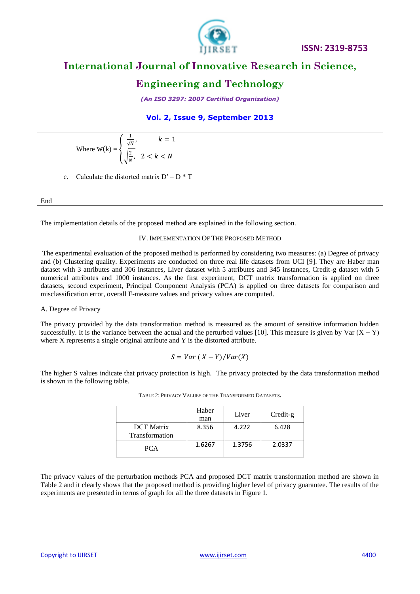

# **Engineering and Technology**

*(An ISO 3297: 2007 Certified Organization)*

### **Vol. 2, Issue 9, September 2013**

Where 
$$
W(k) = \begin{cases} \frac{1}{\sqrt{N}}, & k = 1 \\ \frac{2}{\sqrt{n}}, & 2 < k < N \end{cases}
$$
  
c. Calculate the distorted matrix  $D' = D * T$   
End

The implementation details of the proposed method are explained in the following section.

#### IV. IMPLEMENTATION OF THE PROPOSED METHOD

The experimental evaluation of the proposed method is performed by considering two measures: (a) Degree of privacy and (b) Clustering quality. Experiments are conducted on three real life datasets from UCI [9]. They are Haber man dataset with 3 attributes and 306 instances, Liver dataset with 5 attributes and 345 instances, Credit-g dataset with 5 numerical attributes and 1000 instances. As the first experiment, DCT matrix transformation is applied on three datasets, second experiment, Principal Component Analysis (PCA) is applied on three datasets for comparison and misclassification error, overall F-measure values and privacy values are computed.

#### A. Degree of Privacy

The privacy provided by the data transformation method is measured as the amount of sensitive information hidden successfully. It is the variance between the actual and the perturbed values [10]. This measure is given by Var  $(X - Y)$ where X represents a single original attribute and Y is the distorted attribute.

$$
S = Var (X - Y) / Var(X)
$$

The higher S values indicate that privacy protection is high. The privacy protected by the data transformation method is shown in the following table.

|                                     | Haber<br>man | Liver  | Credit-g |
|-------------------------------------|--------------|--------|----------|
| <b>DCT</b> Matrix<br>Transformation | 8.356        | 4.222  | 6.428    |
| <b>PCA</b>                          | 1.6267       | 1.3756 | 2.0337   |

TABLE 2: PRIVACY VALUES OF THE TRANSFORMED DATASETS**.**

The privacy values of the perturbation methods PCA and proposed DCT matrix transformation method are shown in Table 2 and it clearly shows that the proposed method is providing higher level of privacy guarantee. The results of the experiments are presented in terms of graph for all the three datasets in Figure 1.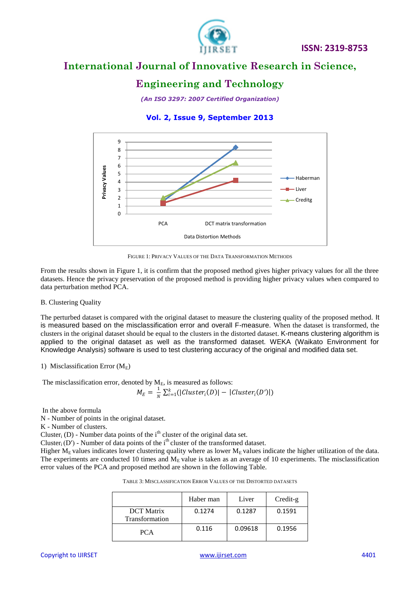

# **Engineering and Technology**

*(An ISO 3297: 2007 Certified Organization)*

### **Vol. 2, Issue 9, September 2013**



FIGURE 1: PRIVACY VALUES OF THE DATA TRANSFORMATION METHODS

From the results shown in Figure 1, it is confirm that the proposed method gives higher privacy values for all the three datasets. Hence the privacy preservation of the proposed method is providing higher privacy values when compared to data perturbation method PCA.

#### B. Clustering Quality

The perturbed dataset is compared with the original dataset to measure the clustering quality of the proposed method. It is measured based on the misclassification error and overall F-measure. When the dataset is transformed, the clusters in the original dataset should be equal to the clusters in the distorted dataset. K-means clustering algorithm is applied to the original dataset as well as the transformed dataset. WEKA (Waikato Environment for Knowledge Analysis) software is used to test clustering accuracy of the original and modified data set.

#### 1) Misclassification Error  $(M<sub>E</sub>)$

The misclassification error, denoted by  $M_E$ , is measured as follows:

$$
M_E = \frac{1}{N} \sum_{i=1}^k (|Cluster_i(D)| - |Cluster_i(D')|)
$$

In the above formula

N - Number of points in the original dataset.

K - Number of clusters.

Cluster<sub>i</sub> (D) - Number data points of the i<sup>th</sup> cluster of the original data set.

Cluster<sub>i</sub> (D') - Number of data points of the i<sup>th</sup> cluster of the transformed dataset.

Higher  $M_E$  values indicates lower clustering quality where as lower  $M_E$  values indicate the higher utilization of the data. The experiments are conducted 10 times and  $M_E$  value is taken as an average of 10 experiments. The misclassification error values of the PCA and proposed method are shown in the following Table.

|                                     | Haber man | Liver   | Credit-g |
|-------------------------------------|-----------|---------|----------|
| <b>DCT</b> Matrix<br>Transformation | 0.1274    | 0.1287  | 0.1591   |
| <b>PCA</b>                          | 0.116     | 0.09618 | 0.1956   |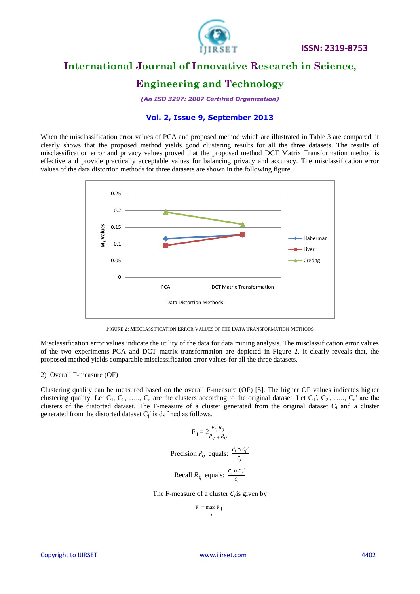

 **ISSN: 2319-8753** 

### **International Journal of Innovative Research in Science,**

### **Engineering and Technology**

*(An ISO 3297: 2007 Certified Organization)*

#### **Vol. 2, Issue 9, September 2013**

When the misclassification error values of PCA and proposed method which are illustrated in Table 3 are compared, it clearly shows that the proposed method yields good clustering results for all the three datasets. The results of misclassification error and privacy values proved that the proposed method DCT Matrix Transformation method is effective and provide practically acceptable values for balancing privacy and accuracy. The misclassification error values of the data distortion methods for three datasets are shown in the following figure.



FIGURE 2: MISCLASSIFICATION ERROR VALUES OF THE DATA TRANSFORMATION METHODS

Misclassification error values indicate the utility of the data for data mining analysis. The misclassification error values of the two experiments PCA and DCT matrix transformation are depicted in Figure 2. It clearly reveals that, the proposed method yields comparable misclassification error values for all the three datasets.

#### 2) Overall F-measure (OF)

Clustering quality can be measured based on the overall F-measure (OF) [5]. The higher OF values indicates higher clustering quality. Let  $C_1, C_2, \ldots, C_n$  are the clusters according to the original dataset. Let  $C_1, C_2, \ldots, C_n$  are the clusters of the distorted dataset. The F-measure of a cluster generated from the original dataset C<sub>i</sub> and a cluster generated from the distorted dataset  $C_j'$  is defined as follows.

$$
F_{ij} = 2 \frac{P_{ij} R_{ij}}{P_{ij} + R_{ij}}
$$
  
Precision  $P_{ij}$  equals:  $\frac{C_i \cap C_j'}{C_j'}$   
Recall  $R_{ij}$  equals:  $\frac{C_i \cap C_j'}{C_i}$ 

The F-measure of a cluster  $C_i$  is given by

$$
F_i = \max_j F_{ij}
$$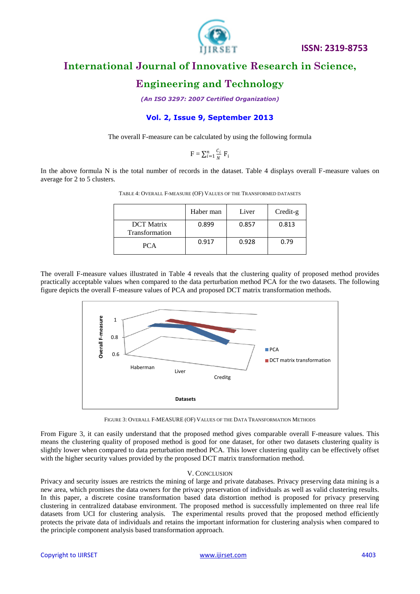

# **Engineering and Technology**

*(An ISO 3297: 2007 Certified Organization)*

### **Vol. 2, Issue 9, September 2013**

The overall F-measure can be calculated by using the following formula

$$
F = \sum_{i=1}^{n} \frac{c_i}{N} F_i
$$

In the above formula N is the total number of records in the dataset. Table 4 displays overall F-measure values on average for 2 to 5 clusters.

|                                     | Haber man | Liver | Credit-g |
|-------------------------------------|-----------|-------|----------|
| <b>DCT</b> Matrix<br>Transformation | 0.899     | 0.857 | 0.813    |
| <b>PCA</b>                          | 0.917     | 0.928 | 0.79     |

TABLE 4: OVERALL F-MEASURE (OF) VALUES OF THE TRANSFORMED DATASETS

The overall F-measure values illustrated in Table 4 reveals that the clustering quality of proposed method provides practically acceptable values when compared to the data perturbation method PCA for the two datasets. The following figure depicts the overall F-measure values of PCA and proposed DCT matrix transformation methods.



FIGURE 3: OVERALL F-MEASURE (OF) VALUES OF THE DATA TRANSFORMATION METHODS

From Figure 3, it can easily understand that the proposed method gives comparable overall F-measure values. This means the clustering quality of proposed method is good for one dataset, for other two datasets clustering quality is slightly lower when compared to data perturbation method PCA. This lower clustering quality can be effectively offset with the higher security values provided by the proposed DCT matrix transformation method.

#### V. CONCLUSION

Privacy and security issues are restricts the mining of large and private databases. Privacy preserving data mining is a new area, which promises the data owners for the privacy preservation of individuals as well as valid clustering results. In this paper, a discrete cosine transformation based data distortion method is proposed for privacy preserving clustering in centralized database environment. The proposed method is successfully implemented on three real life datasets from UCI for clustering analysis. The experimental results proved that the proposed method efficiently protects the private data of individuals and retains the important information for clustering analysis when compared to the principle component analysis based transformation approach.